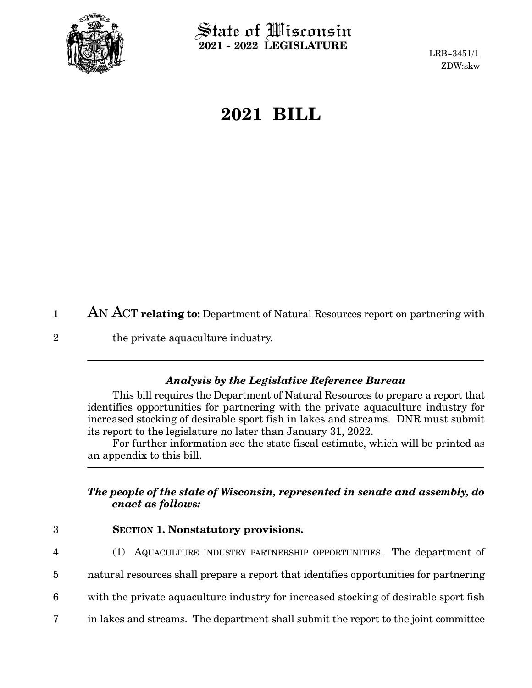

 $\operatorname{\mathsf{State}}$  of Wisconsin **2021 - 2022 LEGISLATURE**

LRB-3451/1 ZDW:skw

## **2021 BILL**

AN ACT **relating to:** Department of Natural Resources report on partnering with 1

the private aquaculture industry. 2

## *Analysis by the Legislative Reference Bureau*

This bill requires the Department of Natural Resources to prepare a report that identifies opportunities for partnering with the private aquaculture industry for increased stocking of desirable sport fish in lakes and streams. DNR must submit its report to the legislature no later than January 31, 2022.

For further information see the state fiscal estimate, which will be printed as an appendix to this bill.

## *The people of the state of Wisconsin, represented in senate and assembly, do enact as follows:*

- 3
- **SECTION 1. Nonstatutory provisions.**
- 4
- (1) AQUACULTURE INDUSTRY PARTNERSHIP OPPORTUNITIES. The department of
- natural resources shall prepare a report that identifies opportunities for partnering 5
- with the private aquaculture industry for increased stocking of desirable sport fish 6
- in lakes and streams. The department shall submit the report to the joint committee 7